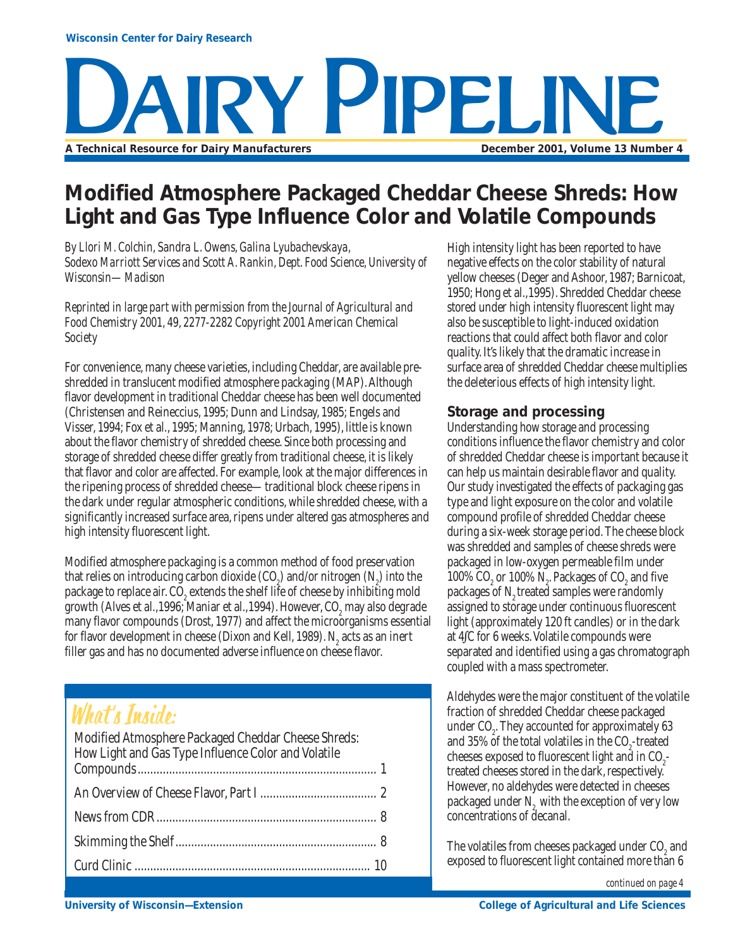# Y PIPPI JI **A Technical Resource for Dairy Manufacturers December 2001, Volume 13 Number 4**

### **Modified Atmosphere Packaged Cheddar Cheese Shreds: How Light and Gas Type Influence Color and Volatile Compounds**

*By Llori M. Colchin, Sandra L. Owens, Galina Lyubachevskaya, Sodexo Marriott Services and Scott A. Rankin, Dept. Food Science, University of Wisconsin—Madison*

*Reprinted in large part with permission from the Journal of Agricultural and Food Chemistry 2001, 49, 2277-2282 Copyright 2001 American Chemical Society*

For convenience, many cheese varieties, including Cheddar, are available preshredded in translucent modified atmosphere packaging (MAP). Although flavor development in traditional Cheddar cheese has been well documented (Christensen and Reineccius, 1995; Dunn and Lindsay, 1985; Engels and Visser, 1994; Fox et al., 1995; Manning, 1978; Urbach, 1995), little is known about the flavor chemistry of shredded cheese. Since both processing and storage of shredded cheese differ greatly from traditional cheese, it is likely that flavor and color are affected. For example, look at the major differences in the ripening process of shredded cheese—traditional block cheese ripens in the dark under regular atmospheric conditions, while shredded cheese, with a significantly increased surface area, ripens under altered gas atmospheres and high intensity fluorescent light.

Modified atmosphere packaging is a common method of food preservation that relies on introducing carbon dioxide  $({\rm CO}_2)$  and/or nitrogen  $({\rm N}_2)$  into the package to replace air.  $\mathrm{CO}_2$  extends the shelf life of cheese by inhibiting mold growth (Alves et al.,1996; Maniar et al.,1994). However, CO $_{\textrm{\tiny{2}}}$  may also degrade many flavor compounds (Drost, 1977) and affect the microorganisms essential for flavor development in cheese (Dixon and Kell, 1989).  $N_{2}$  acts as an inert filler gas and has no documented adverse influence on cheese flavor.

### What's Inside:

| Modified Atmosphere Packaged Cheddar Cheese Shreds:<br>How Light and Gas Type Influence Color and Volatile |  |
|------------------------------------------------------------------------------------------------------------|--|
|                                                                                                            |  |
|                                                                                                            |  |
|                                                                                                            |  |
|                                                                                                            |  |
|                                                                                                            |  |

High intensity light has been reported to have negative effects on the color stability of natural yellow cheeses (Deger and Ashoor, 1987; Barnicoat, 1950; Hong et al.,1995). Shredded Cheddar cheese stored under high intensity fluorescent light may also be susceptible to light-induced oxidation reactions that could affect both flavor and color quality. It's likely that the dramatic increase in surface area of shredded Cheddar cheese multiplies the deleterious effects of high intensity light.

### **Storage and processing**

Understanding how storage and processing conditions influence the flavor chemistry and color of shredded Cheddar cheese is important because it can help us maintain desirable flavor and quality. Our study investigated the effects of packaging gas type and light exposure on the color and volatile compound profile of shredded Cheddar cheese during a six-week storage period. The cheese block was shredded and samples of cheese shreds were packaged in low-oxygen permeable film under 100% CO<sub>2</sub> or 100% N<sub>2</sub>. Packages of CO<sub>2</sub> and five packages of N<sub>2</sub> treated samples were randomly assigned to storage under continuous fluorescent light (approximately 120 ft candles) or in the dark at 4∫C for 6 weeks. Volatile compounds were separated and identified using a gas chromatograph coupled with a mass spectrometer.

Aldehydes were the major constituent of the volatile fraction of shredded Cheddar cheese packaged under  $CO<sub>2</sub>$ . They accounted for approximately 63 and 35% of the total volatiles in the  $CO_2$ -treated cheeses exposed to fluorescent light and in  $CO_{2}$ treated cheeses stored in the dark, respectively. However, no aldehydes were detected in cheeses packaged under N<sub>2</sub> with the exception of very low concentrations of decanal.

The volatiles from cheeses packaged under  $\mathrm{CO}_2$  and exposed to fluorescent light contained more than 6

*continued on page 4*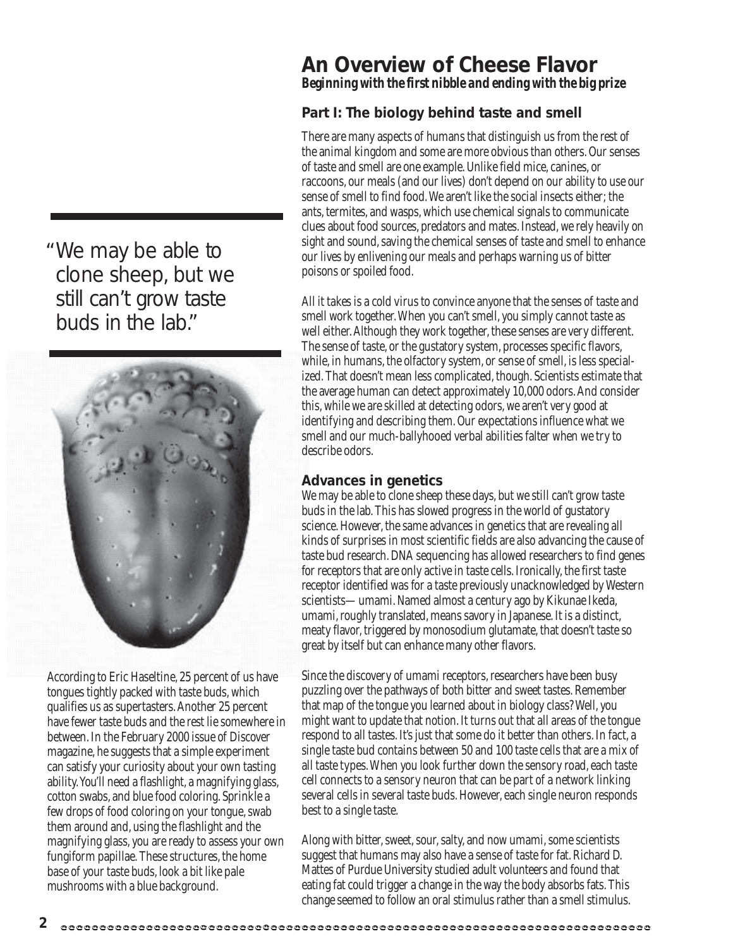We may be able to " clone sheep, but we still can't grow taste buds in the lab."



According to Eric Haseltine, 25 percent of us have tongues tightly packed with taste buds, which qualifies us as supertasters. Another 25 percent have fewer taste buds and the rest lie somewhere in between. In the February 2000 issue of Discover magazine, he suggests that a simple experiment can satisfy your curiosity about your own tasting ability. You'll need a flashlight, a magnifying glass, cotton swabs, and blue food coloring. Sprinkle a few drops of food coloring on your tongue, swab them around and, using the flashlight and the magnifying glass, you are ready to assess your own fungiform papillae. These structures, the home base of your taste buds, look a bit like pale mushrooms with a blue background.

**2**

### **An Overview of Cheese Flavor** *Beginning with the first nibble and ending with the big prize*

### **Part I: The biology behind taste and smell**

There are many aspects of humans that distinguish us from the rest of the animal kingdom and some are more obvious than others. Our senses of taste and smell are one example. Unlike field mice, canines, or raccoons, our meals (and our lives) don't depend on our ability to use our sense of smell to find food. We aren't like the social insects either; the ants, termites, and wasps, which use chemical signals to communicate clues about food sources, predators and mates. Instead, we rely heavily on sight and sound, saving the chemical senses of taste and smell to enhance our lives by enlivening our meals and perhaps warning us of bitter poisons or spoiled food.

All it takes is a cold virus to convince anyone that the senses of taste and smell work together. When you can't smell, you simply cannot taste as well either. Although they work together, these senses are very different. The sense of taste, or the gustatory system, processes specific flavors, while, in humans, the olfactory system, or sense of smell, is less specialized. That doesn't mean less complicated, though. Scientists estimate that the average human can detect approximately 10,000 odors. And consider this, while we are skilled at detecting odors, we aren't very good at identifying and describing them. Our expectations influence what we smell and our much-ballyhooed verbal abilities falter when we try to describe odors.

### **Advances in genetics**

We may be able to clone sheep these days, but we still can't grow taste buds in the lab. This has slowed progress in the world of gustatory science. However, the same advances in genetics that are revealing all kinds of surprises in most scientific fields are also advancing the cause of taste bud research. DNA sequencing has allowed researchers to find genes for receptors that are only active in taste cells. Ironically, the first taste receptor identified was for a taste previously unacknowledged by Western scientists—umami. Named almost a century ago by Kikunae Ikeda, umami, roughly translated, means savory in Japanese. It is a distinct, meaty flavor, triggered by monosodium glutamate, that doesn't taste so great by itself but can enhance many other flavors.

Since the discovery of umami receptors, researchers have been busy puzzling over the pathways of both bitter and sweet tastes. Remember that map of the tongue you learned about in biology class? Well, you might want to update that notion. It turns out that all areas of the tongue respond to all tastes. It's just that some do it better than others. In fact, a single taste bud contains between 50 and 100 taste cells that are a mix of all taste types. When you look further down the sensory road, each taste cell connects to a sensory neuron that can be part of a network linking several cells in several taste buds. However, each single neuron responds best to a single taste.

Along with bitter, sweet, sour, salty, and now umami, some scientists suggest that humans may also have a sense of taste for fat. Richard D. Mattes of Purdue University studied adult volunteers and found that eating fat could trigger a change in the way the body absorbs fats. This change seemed to follow an oral stimulus rather than a smell stimulus.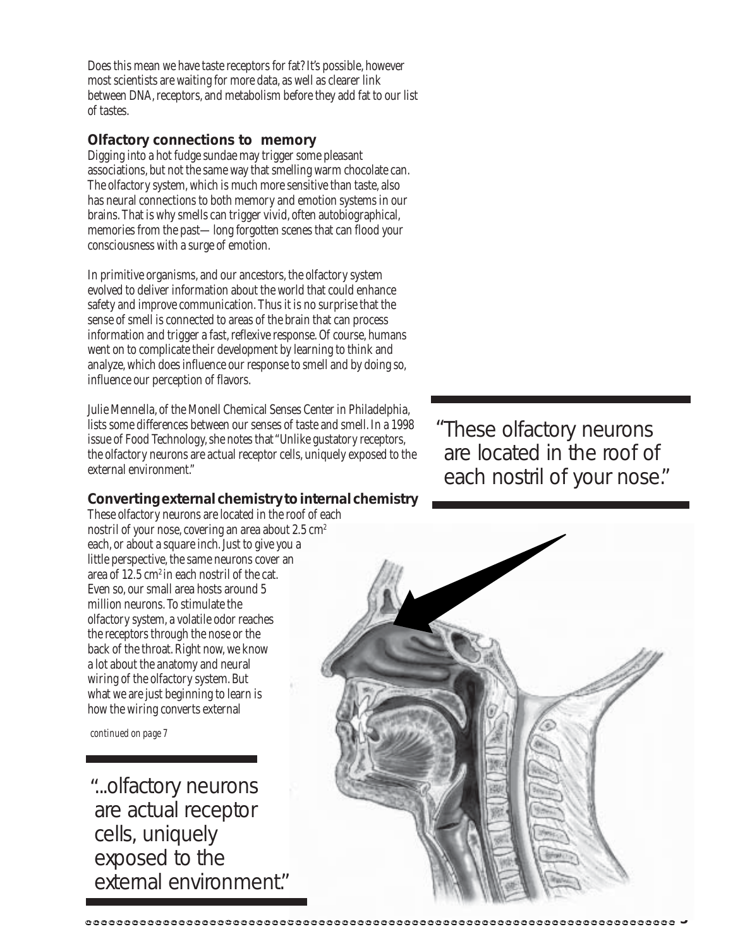Does this mean we have taste receptors for fat? It's possible, however most scientists are waiting for more data, as well as clearer link between DNA, receptors, and metabolism before they add fat to our list of tastes.

### **Olfactory connections to memory**

Digging into a hot fudge sundae may trigger some pleasant associations, but not the same way that smelling warm chocolate can. The olfactory system, which is much more sensitive than taste, also has neural connections to both memory and emotion systems in our brains. That is why smells can trigger vivid, often autobiographical, memories from the past—long forgotten scenes that can flood your consciousness with a surge of emotion.

In primitive organisms, and our ancestors, the olfactory system evolved to deliver information about the world that could enhance safety and improve communication. Thus it is no surprise that the sense of smell is connected to areas of the brain that can process information and trigger a fast, reflexive response. Of course, humans went on to complicate their development by learning to think and analyze, which does influence our response to smell and by doing so, influence our perception of flavors.

Julie Mennella, of the Monell Chemical Senses Center in Philadelphia, lists some differences between our senses of taste and smell. In a 1998 issue of Food Technology, she notes that "Unlike gustatory receptors, the olfactory neurons are actual receptor cells, uniquely exposed to the external environment."

### **Converting external chemistry to internal chemistry**

These olfactory neurons are located in the roof of each nostril of your nose, covering an area about  $2.5 \text{ cm}^2$ each, or about a square inch. Just to give you a little perspective, the same neurons cover an area of 12.5 cm<sup>2</sup> in each nostril of the cat. Even so, our small area hosts around 5 million neurons. To stimulate the olfactory system, a volatile odor reaches the receptors through the nose or the back of the throat. Right now, we know a lot about the anatomy and neural wiring of the olfactory system. But what we are just beginning to learn is how the wiring converts external

*continued on page 7*

...olfactory neurons " are actual receptor cells, uniquely exposed to the external environment."

............................

These olfactory neurons "are located in the roof of each nostril of your nose."

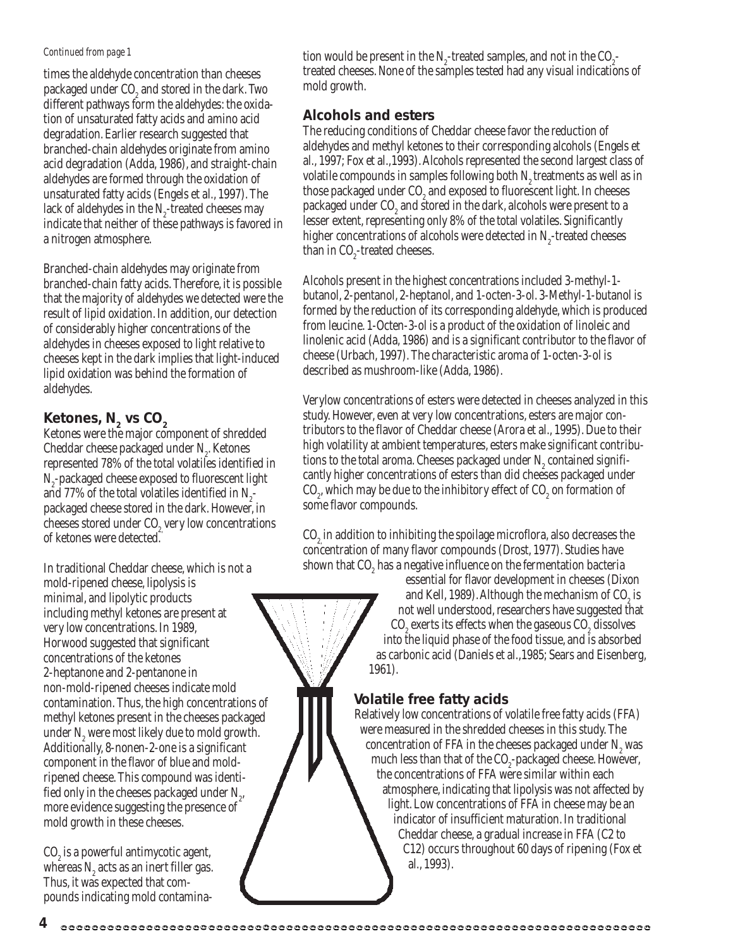#### *Continued from page 1*

times the aldehyde concentration than cheeses packaged under  $\mathrm{CO}_2$  and stored in the dark. Two different pathways form the aldehydes: the oxidation of unsaturated fatty acids and amino acid degradation. Earlier research suggested that branched-chain aldehydes originate from amino acid degradation (Adda, 1986), and straight-chain aldehydes are formed through the oxidation of unsaturated fatty acids (Engels et al., 1997). The lack of aldehydes in the  $N_{2}$ -treated cheeses may indicate that neither of these pathways is favored in a nitrogen atmosphere.

Branched-chain aldehydes may originate from branched-chain fatty acids. Therefore, it is possible that the majority of aldehydes we detected were the result of lipid oxidation. In addition, our detection of considerably higher concentrations of the aldehydes in cheeses exposed to light relative to cheeses kept in the dark implies that light-induced lipid oxidation was behind the formation of aldehydes.

### **Ketones, N<sub>2</sub> vs CO<sub>2</sub>**

Ketones were the major component of shredded Cheddar cheese packaged under  $N_{2}$ . Ketones represented 78% of the total volatiles identified in N<sub>2</sub>-packaged cheese exposed to fluorescent light and 77% of the total volatiles identified in  $N_{2}$ packaged cheese stored in the dark. However, in cheeses stored under CO<sub>2</sub> very low concentrations of ketones were detected.

In traditional Cheddar cheese, which is not a mold-ripened cheese, lipolysis is minimal, and lipolytic products including methyl ketones are present at very low concentrations. In 1989, Horwood suggested that significant concentrations of the ketones 2-heptanone and 2-pentanone in non-mold-ripened cheeses indicate mold contamination. Thus, the high concentrations of methyl ketones present in the cheeses packaged under  $N_2$  were most likely due to mold growth. Additionally, 8-nonen-2-one is a significant component in the flavor of blue and moldripened cheese. This compound was identified only in the cheeses packaged under  $\mathrm{N}_{_2}$ , more evidence suggesting the presence of mold growth in these cheeses.

 $\text{CO}_2$  is a powerful antimycotic agent, whereas  $N<sub>2</sub>$  acts as an inert filler gas. Thus, it was expected that compounds indicating mold contamina-

tion would be present in the  $N_{2}$ -treated samples, and not in the  $CO_{2}$ treated cheeses. None of the samples tested had any visual indications of mold growth.

### **Alcohols and esters**

The reducing conditions of Cheddar cheese favor the reduction of aldehydes and methyl ketones to their corresponding alcohols (Engels et al., 1997; Fox et al.,1993). Alcohols represented the second largest class of volatile compounds in samples following both  $N<sub>2</sub>$  treatments as well as in those packaged under CO $_{\tiny 2}$  and exposed to fluorescent light. In cheeses packaged under  $\mathrm{CO}_2$  and stored in the dark, alcohols were present to a lesser extent, representing only 8% of the total volatiles. Significantly higher concentrations of alcohols were detected in  $N_{2}$ -treated cheeses than in  $\text{CO}_2$ -treated cheeses.

Alcohols present in the highest concentrations included 3-methyl-1 butanol, 2-pentanol, 2-heptanol, and 1-octen-3-ol. 3-Methyl-1-butanol is formed by the reduction of its corresponding aldehyde, which is produced from leucine. 1-Octen-3-ol is a product of the oxidation of linoleic and linolenic acid (Adda, 1986) and is a significant contributor to the flavor of cheese (Urbach, 1997). The characteristic aroma of 1-octen-3-ol is described as mushroom-like (Adda, 1986).

Verylow concentrations of esters were detected in cheeses analyzed in this study. However, even at very low concentrations, esters are major contributors to the flavor of Cheddar cheese (Arora et al., 1995). Due to their high volatility at ambient temperatures, esters make significant contributions to the total aroma. Cheeses packaged under  $N_2$  contained significantly higher concentrations of esters than did cheeses packaged under  $CO_{2}$ , which may be due to the inhibitory effect of  $CO_{2}$  on formation of some flavor compounds.

CO<sub>2</sub> in addition to inhibiting the spoilage microflora, also decreases the concentration of many flavor compounds (Drost, 1977). Studies have shown that  $CO<sub>2</sub>$  has a negative influence on the fermentation bacteria

essential for flavor development in cheeses (Dixon and Kell, 1989). Although the mechanism of CO<sub>2</sub> is not well understood, researchers have suggested that  $\mathrm{CO}_2$  exerts its effects when the gaseous  $\mathrm{CO}_2$  dissolves into the liquid phase of the food tissue, and is absorbed as carbonic acid (Daniels et al.,1985; Sears and Eisenberg, 1961).

### **Volatile free fatty acids**

Relatively low concentrations of volatile free fatty acids (FFA) were measured in the shredded cheeses in this study. The concentration of FFA in the cheeses packaged under N<sub>2</sub> was much less than that of the  $CO_2$ -packaged cheese. However, the concentrations of FFA were similar within each atmosphere, indicating that lipolysis was not affected by light. Low concentrations of FFA in cheese may be an indicator of insufficient maturation. In traditional Cheddar cheese, a gradual increase in FFA (C2 to C12) occurs throughout 60 days of ripening (Fox et al., 1993).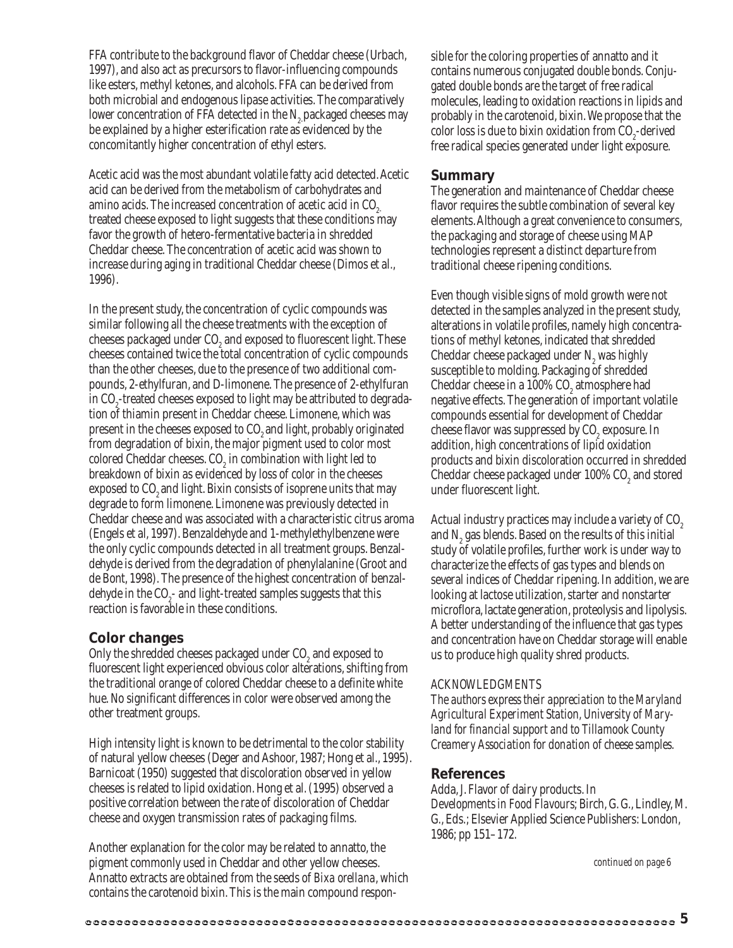FFA contribute to the background flavor of Cheddar cheese (Urbach, 1997), and also act as precursors to flavor-influencing compounds like esters, methyl ketones, and alcohols. FFA can be derived from both microbial and endogenous lipase activities. The comparatively lower concentration of FFA detected in the  $N<sub>2</sub>$  packaged cheeses may be explained by a higher esterification rate as evidenced by the concomitantly higher concentration of ethyl esters.

Acetic acid was the most abundant volatile fatty acid detected. Acetic acid can be derived from the metabolism of carbohydrates and amino acids. The increased concentration of acetic acid in CO<sub>2</sub> treated cheese exposed to light suggests that these conditions may favor the growth of hetero-fermentative bacteria in shredded Cheddar cheese. The concentration of acetic acid was shown to increase during aging in traditional Cheddar cheese (Dimos et al., 1996).

In the present study, the concentration of cyclic compounds was similar following all the cheese treatments with the exception of cheeses packaged under  $\mathrm{CO}_2$  and exposed to fluorescent light. These cheeses contained twice the total concentration of cyclic compounds than the other cheeses, due to the presence of two additional compounds, 2-ethylfuran, and D-limonene. The presence of 2-ethylfuran in CO<sub>2</sub>-treated cheeses exposed to light may be attributed to degradation of thiamin present in Cheddar cheese. Limonene, which was present in the cheeses exposed to CO<sub>2</sub> and light, probably originated from degradation of bixin, the major pigment used to color most colored Cheddar cheeses.  $CO<sub>2</sub>$  in combination with light led to breakdown of bixin as evidenced by loss of color in the cheeses exposed to  $CO<sub>a</sub>$  and light. Bixin consists of isoprene units that may degrade to form limonene. Limonene was previously detected in Cheddar cheese and was associated with a characteristic citrus aroma (Engels et al, 1997). Benzaldehyde and 1-methylethylbenzene were the only cyclic compounds detected in all treatment groups. Benzaldehyde is derived from the degradation of phenylalanine (Groot and de Bont, 1998). The presence of the highest concentration of benzaldehyde in the CO<sub>2</sub>- and light-treated samples suggests that this reaction is favorable in these conditions.

#### **Color changes**

Only the shredded cheeses packaged under  $CO<sub>2</sub>$  and exposed to fluorescent light experienced obvious color alterations, shifting from the traditional orange of colored Cheddar cheese to a definite white hue. No significant differences in color were observed among the other treatment groups.

High intensity light is known to be detrimental to the color stability of natural yellow cheeses (Deger and Ashoor, 1987; Hong et al., 1995). Barnicoat (1950) suggested that discoloration observed in yellow cheeses is related to lipid oxidation. Hong et al. (1995) observed a positive correlation between the rate of discoloration of Cheddar cheese and oxygen transmission rates of packaging films.

Another explanation for the color may be related to annatto, the pigment commonly used in Cheddar and other yellow cheeses. Annatto extracts are obtained from the seeds of *Bixa orellana*, which contains the carotenoid bixin. This is the main compound responsible for the coloring properties of annatto and it contains numerous conjugated double bonds. Conjugated double bonds are the target of free radical molecules, leading to oxidation reactions in lipids and probably in the carotenoid, bixin. We propose that the color loss is due to bixin oxidation from  $CO_{2}$ -derived free radical species generated under light exposure.

### **Summary**

The generation and maintenance of Cheddar cheese flavor requires the subtle combination of several key elements. Although a great convenience to consumers, the packaging and storage of cheese using MAP technologies represent a distinct departure from traditional cheese ripening conditions.

Even though visible signs of mold growth were not detected in the samples analyzed in the present study, alterations in volatile profiles, namely high concentrations of methyl ketones, indicated that shredded Cheddar cheese packaged under  $N_2$  was highly susceptible to molding. Packaging of shredded Cheddar cheese in a 100% CO<sub>2</sub> atmosphere had negative effects. The generation of important volatile compounds essential for development of Cheddar cheese flavor was suppressed by CO<sub>2</sub> exposure. In addition, high concentrations of lipid oxidation products and bixin discoloration occurred in shredded Cheddar cheese packaged under 100% CO<sub>2</sub> and stored under fluorescent light.

Actual industry practices may include a variety of  $CO<sub>2</sub>$ and  $N_z$  gas blends. Based on the results of this initial study of volatile profiles, further work is under way to characterize the effects of gas types and blends on several indices of Cheddar ripening. In addition, we are looking at lactose utilization, starter and nonstarter microflora, lactate generation, proteolysis and lipolysis. A better understanding of the influence that gas types and concentration have on Cheddar storage will enable us to produce high quality shred products.

#### *ACKNOWLEDGMENTS*

*The authors express their appreciation to the Maryland Agricultural Experiment Station, University of Maryland for financial support and to Tillamook County Creamery Association for donation of cheese samples.*

#### **References**

Adda, J. Flavor of dairy products. In *Developments in Food Flavours*; Birch, G. G., Lindley, M. G., Eds.; Elsevier Applied Science Publishers: London, 1986; pp 151–172.

*continued on page 6*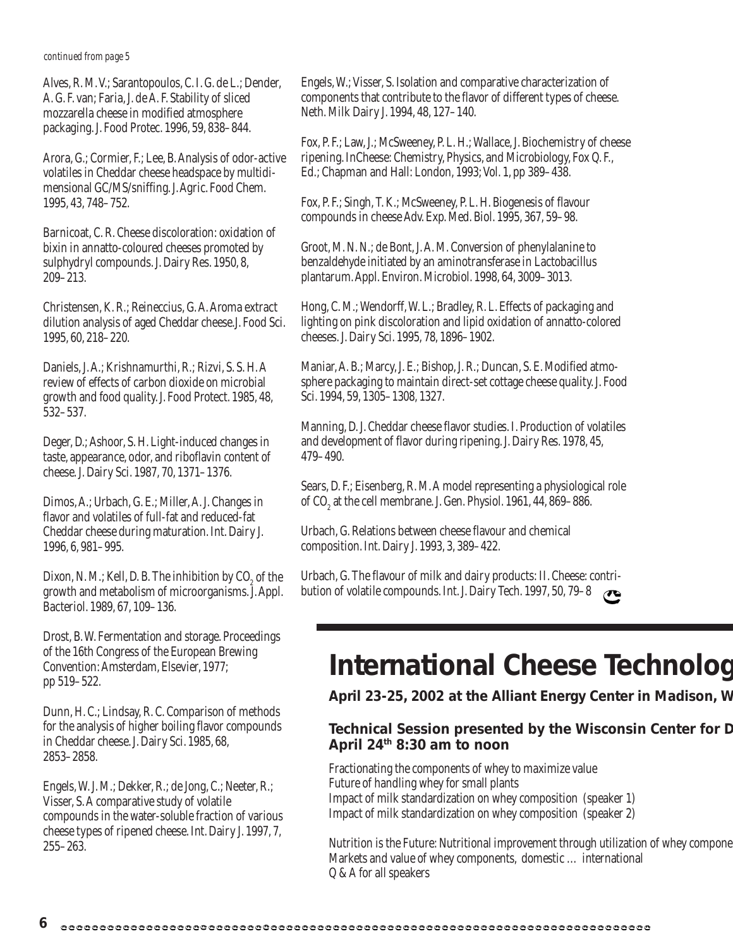#### *continued from page 5*

Alves, R. M. V.; Sarantopoulos, C. I. G. de L.; Dender, A. G. F. van; Faria, J. de A. F. Stability of sliced mozzarella cheese in modified atmosphere packaging. J. Food Protec. 1996, 59, 838–844.

Arora, G.; Cormier, F.; Lee, B. Analysis of odor-active volatiles in Cheddar cheese headspace by multidimensional GC/MS/sniffing. J. Agric. Food Chem. 1995, 43, 748–752.

Barnicoat, C. R. Cheese discoloration: oxidation of bixin in annatto-coloured cheeses promoted by sulphydryl compounds. J. Dairy Res. 1950, 8, 209–213.

Christensen, K. R.; Reineccius, G. A. Aroma extract dilution analysis of aged Cheddar cheese.J. Food Sci. 1995, 60, 218–220.

Daniels, J. A.; Krishnamurthi, R.; Rizvi, S. S. H. A review of effects of carbon dioxide on microbial growth and food quality. J. Food Protect. 1985, 48, 532–537.

Deger, D.; Ashoor, S. H. Light-induced changes in taste, appearance, odor, and riboflavin content of cheese. J. Dairy Sci. 1987, 70, 1371–1376.

Dimos, A.; Urbach, G. E.; Miller, A. J. Changes in flavor and volatiles of full-fat and reduced-fat Cheddar cheese during maturation. Int. Dairy J. 1996, 6, 981–995.

Dixon, N. M.; Kell, D. B. The inhibition by  $CO<sub>2</sub>$  of the growth and metabolism of microorganisms. J. Appl. Bacteriol. 1989, 67, 109–136.

Drost, B. W. Fermentation and storage. Proceedings of the 16th Congress of the European Brewing Convention: Amsterdam, Elsevier, 1977; pp 519–522.

Dunn, H. C.; Lindsay, R. C. Comparison of methods for the analysis of higher boiling flavor compounds in Cheddar cheese. J. Dairy Sci. 1985, 68, 2853–2858.

Engels, W. J. M.; Dekker, R.; de Jong, C.; Neeter, R.; Visser, S. A comparative study of volatile compounds in the water-soluble fraction of various cheese types of ripened cheese. Int. Dairy J. 1997, 7, 255–263.

Engels, W.; Visser, S. Isolation and comparative characterization of components that contribute to the flavor of different types of cheese. Neth. Milk Dairy J. 1994, 48, 127–140.

Fox, P. F.; Law, J.; McSweeney, P. L. H.; Wallace, J. Biochemistry of cheese ripening. InCheese: Chemistry, Physics, and Microbiology, Fox Q. F., Ed.; Chapman and Hall: London, 1993; Vol. 1, pp 389–438.

Fox, P. F.; Singh, T. K.; McSweeney, P. L. H. Biogenesis of flavour compounds in cheese Adv. Exp. Med. Biol. 1995, 367, 59–98.

Groot, M. N. N.; de Bont, J. A. M. Conversion of phenylalanine to benzaldehyde initiated by an aminotransferase in Lactobacillus plantarum. Appl. Environ. Microbiol. 1998, 64, 3009–3013.

Hong, C. M.; Wendorff, W. L.; Bradley, R. L. Effects of packaging and lighting on pink discoloration and lipid oxidation of annatto-colored cheeses. J. Dairy Sci. 1995, 78, 1896–1902.

Maniar, A. B.; Marcy, J. E.; Bishop, J. R.; Duncan, S. E. Modified atmosphere packaging to maintain direct-set cottage cheese quality. J. Food Sci. 1994, 59, 1305–1308, 1327.

Manning, D. J. Cheddar cheese flavor studies. I. Production of volatiles and development of flavor during ripening. J. Dairy Res. 1978, 45, 479–490.

Sears, D. F.; Eisenberg, R. M. A model representing a physiological role of CO<sub>2</sub> at the cell membrane. J. Gen. Physiol. 1961, 44, 869–886.

Urbach, G. Relations between cheese flavour and chemical composition. Int. Dairy J. 1993, 3, 389–422.

Urbach, G. The flavour of milk and dairy products: II. Cheese: contribution of volatile compounds. Int. J. Dairy Tech. 1997, 50, 79–8

### **International Cheese Technolog**

**April 23-25, 2002 at the Alliant Energy Center in Madison, W**

### **Technical Session presented by the Wisconsin Center for D April 24th 8:30 am to noon**

Fractionating the components of whey to maximize value Future of handling whey for small plants Impact of milk standardization on whey composition (speaker 1) Impact of milk standardization on whey composition (speaker 2)

Nutrition is the Future: Nutritional improvement through utilization of whey compone Markets and value of whey components, domestic … international Q & A for all speakers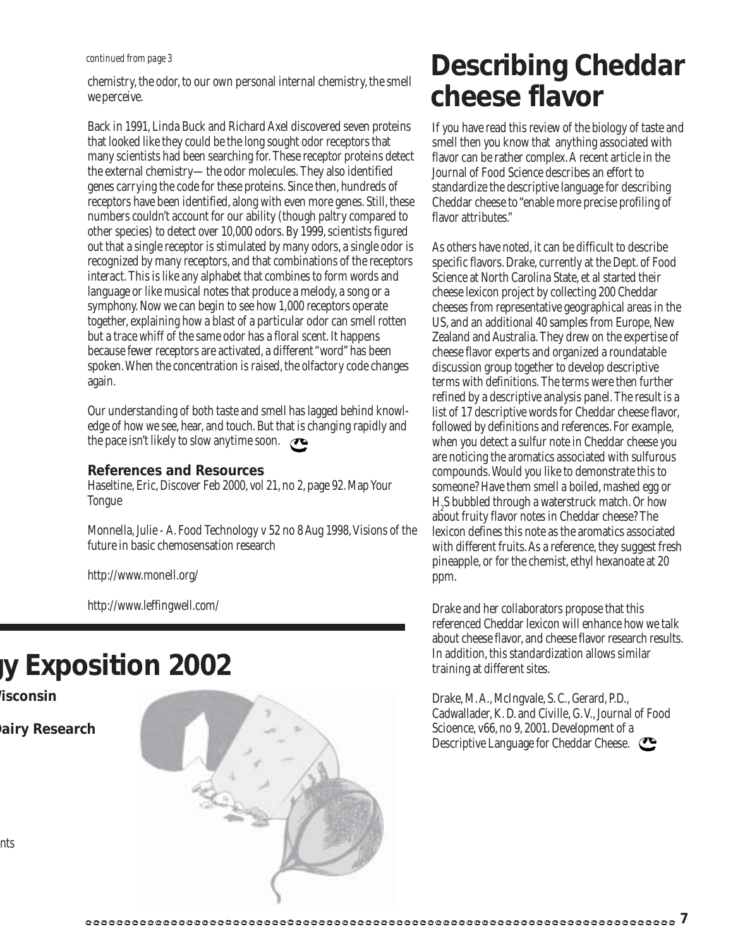chemistry, the odor, to our own personal internal chemistry, the smell we perceive.

Back in 1991, Linda Buck and Richard Axel discovered seven proteins that looked like they could be the long sought odor receptors that many scientists had been searching for. These receptor proteins detect the external chemistry—the odor molecules. They also identified genes carrying the code for these proteins. Since then, hundreds of receptors have been identified, along with even more genes. Still, these numbers couldn't account for our ability (though paltry compared to other species) to detect over 10,000 odors. By 1999, scientists figured out that a single receptor is stimulated by many odors, a single odor is recognized by many receptors, and that combinations of the receptors interact. This is like any alphabet that combines to form words and language or like musical notes that produce a melody, a song or a symphony. Now we can begin to see how 1,000 receptors operate together, explaining how a blast of a particular odor can smell rotten but a trace whiff of the same odor has a floral scent. It happens because fewer receptors are activated, a different "word" has been spoken. When the concentration is raised, the olfactory code changes again.

Our understanding of both taste and smell has lagged behind knowledge of how we see, hear, and touch. But that is changing rapidly and the pace isn't likely to slow anytime soon.  $\circ$ 

#### **References and Resources**

Haseltine, Eric, Discover Feb 2000, vol 21, no 2, page 92. Map Your Tongue

Monnella, Julie - A. Food Technology v 52 no 8 Aug 1998, Visions of the future in basic chemosensation research

http://www.monell.org/

http://www.leffingwell.com/

### **gy Exposition 2002**

**Wisconsin**

**Dairy Research**

### *continued from page 3* **Describing Cheddar cheese flavor**

If you have read this review of the biology of taste and smell then you know that anything associated with flavor can be rather complex. A recent article in the Journal of Food Science describes an effort to standardize the descriptive language for describing Cheddar cheese to "enable more precise profiling of flavor attributes."

As others have noted, it can be difficult to describe specific flavors. Drake, currently at the Dept. of Food Science at North Carolina State, et al started their cheese lexicon project by collecting 200 Cheddar cheeses from representative geographical areas in the US, and an additional 40 samples from Europe, New Zealand and Australia. They drew on the expertise of cheese flavor experts and organized a roundatable discussion group together to develop descriptive terms with definitions. The terms were then further refined by a descriptive analysis panel. The result is a list of 17 descriptive words for Cheddar cheese flavor, followed by definitions and references. For example, when you detect a sulfur note in Cheddar cheese you are noticing the aromatics associated with sulfurous compounds. Would you like to demonstrate this to someone? Have them smell a boiled, mashed egg or H<sub>2</sub>S bubbled through a waterstruck match. Or how about fruity flavor notes in Cheddar cheese? The lexicon defines this note as the aromatics associated with different fruits. As a reference, they suggest fresh pineapple, or for the chemist, ethyl hexanoate at 20 ppm.

Drake and her collaborators propose that this referenced Cheddar lexicon will enhance how we talk about cheese flavor, and cheese flavor research results. In addition, this standardization allows similar training at different sites.

Drake, M.A., McIngvale, S. C., Gerard, P.D., Cadwallader, K. D. and Civille, G. V., Journal of Food Scioence, v66, no 9, 2001. Development of a Descriptive Language for Cheddar Cheese.

nts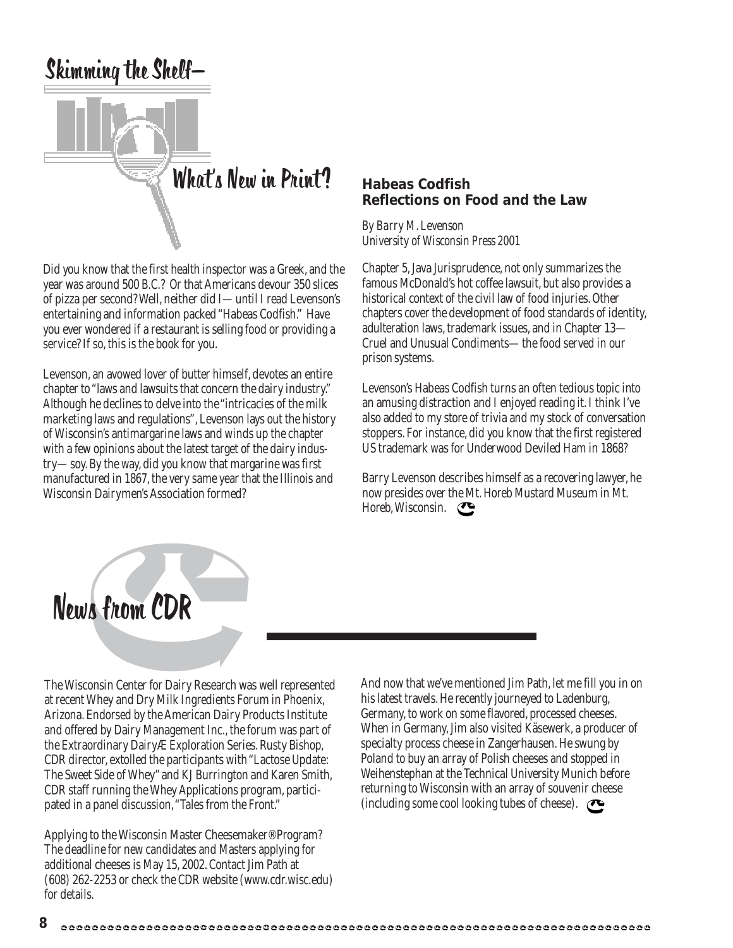

Did you know that the first health inspector was a Greek, and the year was around 500 B.C.? Or that Americans devour 350 slices of pizza per second? Well, neither did I—until I read Levenson's entertaining and information packed "Habeas Codfish." Have you ever wondered if a restaurant is selling food or providing a service? If so, this is the book for you.

Levenson, an avowed lover of butter himself, devotes an entire chapter to "laws and lawsuits that concern the dairy industry." Although he declines to delve into the "intricacies of the milk marketing laws and regulations", Levenson lays out the history of Wisconsin's antimargarine laws and winds up the chapter with a few opinions about the latest target of the dairy industry—soy. By the way, did you know that margarine was first manufactured in 1867, the very same year that the Illinois and Wisconsin Dairymen's Association formed?

### **Habeas Codfish Reflections on Food and the Law**

*By Barry M. Levenson University of Wisconsin Press 2001*

Chapter 5, Java Jurisprudence, not only summarizes the famous McDonald's hot coffee lawsuit, but also provides a historical context of the civil law of food injuries. Other chapters cover the development of food standards of identity, adulteration laws, trademark issues, and in Chapter 13— Cruel and Unusual Condiments—the food served in our prison systems.

Levenson's Habeas Codfish turns an often tedious topic into an amusing distraction and I enjoyed reading it. I think I've also added to my store of trivia and my stock of conversation stoppers. For instance, did you know that the first registered US trademark was for Underwood Deviled Ham in 1868?

Barry Levenson describes himself as a recovering lawyer, he now presides over the Mt. Horeb Mustard Museum in Mt. Horeb, Wisconsin.



The Wisconsin Center for Dairy Research was well represented at recent Whey and Dry Milk Ingredients Forum in Phoenix, Arizona. Endorsed by the American Dairy Products Institute and offered by Dairy Management Inc., the forum was part of the Extraordinary DairyÆ Exploration Series. Rusty Bishop, CDR director, extolled the participants with "Lactose Update: The Sweet Side of Whey" and KJ Burrington and Karen Smith, CDR staff running the Whey Applications program, participated in a panel discussion, "Tales from the Front."

Applying to the Wisconsin Master Cheesemaker® Program? The deadline for new candidates and Masters applying for additional cheeses is May 15, 2002. Contact Jim Path at (608) 262-2253 or check the CDR website (www.cdr.wisc.edu) for details.

And now that we've mentioned Jim Path, let me fill you in on his latest travels. He recently journeyed to Ladenburg, Germany, to work on some flavored, processed cheeses. When in Germany, Jim also visited Käsewerk, a producer of specialty process cheese in Zangerhausen. He swung by Poland to buy an array of Polish cheeses and stopped in Weihenstephan at the Technical University Munich before returning to Wisconsin with an array of souvenir cheese (including some cool looking tubes of cheese).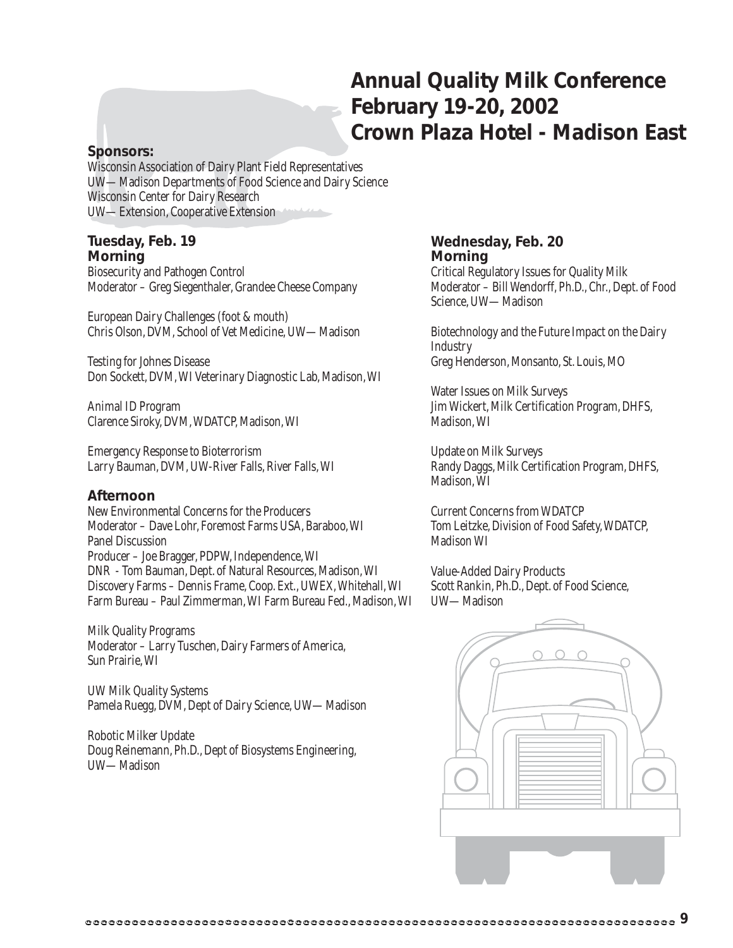### **Annual Quality Milk Conference February 19-20, 2002 Crown Plaza Hotel - Madison East**

### **Sponsors:**

Wisconsin Association of Dairy Plant Field Representatives UW—Madison Departments of Food Science and Dairy Science Wisconsin Center for Dairy Research UW—Extension, Cooperative Extension

### **Tuesday, Feb. 19 Morning**

Biosecurity and Pathogen Control Moderator – Greg Siegenthaler, Grandee Cheese Company

European Dairy Challenges (foot & mouth) Chris Olson, DVM, School of Vet Medicine, UW—Madison

Testing for Johnes Disease Don Sockett, DVM, WI Veterinary Diagnostic Lab, Madison, WI

Animal ID Program Clarence Siroky, DVM, WDATCP, Madison, WI

Emergency Response to Bioterrorism Larry Bauman, DVM, UW-River Falls, River Falls, WI

### **Afternoon**

New Environmental Concerns for the Producers Moderator – Dave Lohr, Foremost Farms USA, Baraboo, WI Panel Discussion Producer – Joe Bragger, PDPW, Independence, WI DNR - Tom Bauman, Dept. of Natural Resources, Madison, WI Discovery Farms – Dennis Frame, Coop. Ext., UWEX, Whitehall, WI Farm Bureau – Paul Zimmerman, WI Farm Bureau Fed., Madison, WI

Milk Quality Programs Moderator – Larry Tuschen, Dairy Farmers of America, Sun Prairie, WI

UW Milk Quality Systems Pamela Ruegg, DVM, Dept of Dairy Science, UW—Madison

Robotic Milker Update Doug Reinemann, Ph.D., Dept of Biosystems Engineering, UW—Madison

### **Wednesday, Feb. 20 Morning**

Critical Regulatory Issues for Quality Milk Moderator – Bill Wendorff, Ph.D., Chr., Dept. of Food Science, UW—Madison

Biotechnology and the Future Impact on the Dairy **Industry** Greg Henderson, Monsanto, St. Louis, MO

Water Issues on Milk Surveys Jim Wickert, Milk Certification Program, DHFS, Madison, WI

Update on Milk Surveys Randy Daggs, Milk Certification Program, DHFS, Madison, WI

Current Concerns from WDATCP Tom Leitzke, Division of Food Safety, WDATCP, Madison WI

Value-Added Dairy Products Scott Rankin, Ph.D., Dept. of Food Science, UW—Madison

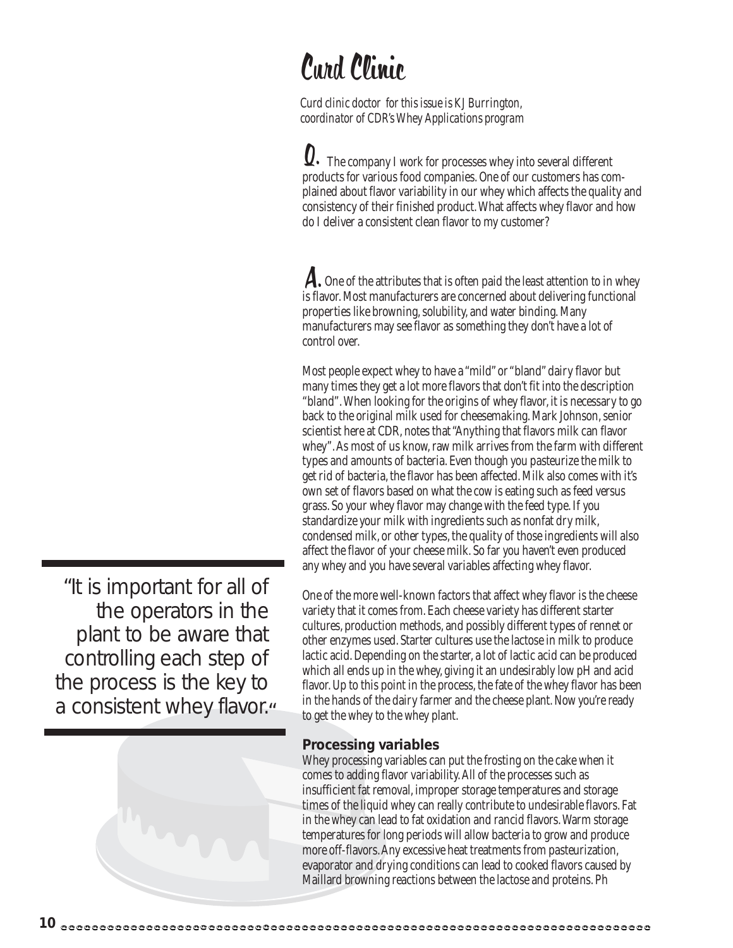## Curd Clinic

*Curd clinic doctor for this issue is KJ Burrington, coordinator of CDR's Whey Applications program*

Q. The company I work for processes whey into several different products for various food companies. One of our customers has complained about flavor variability in our whey which affects the quality and consistency of their finished product. What affects whey flavor and how do I deliver a consistent clean flavor to my customer?

A. One of the attributes that is often paid the least attention to in whey is flavor. Most manufacturers are concerned about delivering functional properties like browning, solubility, and water binding. Many manufacturers may see flavor as something they don't have a lot of control over.

Most people expect whey to have a "mild" or "bland" dairy flavor but many times they get a lot more flavors that don't fit into the description "bland". When looking for the origins of whey flavor, it is necessary to go back to the original milk used for cheesemaking. Mark Johnson, senior scientist here at CDR, notes that "Anything that flavors milk can flavor whey". As most of us know, raw milk arrives from the farm with different types and amounts of bacteria. Even though you pasteurize the milk to get rid of bacteria, the flavor has been affected. Milk also comes with it's own set of flavors based on what the cow is eating such as feed versus grass. So your whey flavor may change with the feed type. If you standardize your milk with ingredients such as nonfat dry milk, condensed milk, or other types, the quality of those ingredients will also affect the flavor of your cheese milk. So far you haven't even produced any whey and you have several variables affecting whey flavor.

One of the more well-known factors that affect whey flavor is the cheese variety that it comes from. Each cheese variety has different starter cultures, production methods, and possibly different types of rennet or other enzymes used. Starter cultures use the lactose in milk to produce lactic acid. Depending on the starter, a lot of lactic acid can be produced which all ends up in the whey, giving it an undesirably low pH and acid flavor. Up to this point in the process, the fate of the whey flavor has been in the hands of the dairy farmer and the cheese plant. Now you're ready to get the whey to the whey plant.

### **Processing variables**

Whey processing variables can put the frosting on the cake when it comes to adding flavor variability. All of the processes such as insufficient fat removal, improper storage temperatures and storage times of the liquid whey can really contribute to undesirable flavors. Fat in the whey can lead to fat oxidation and rancid flavors. Warm storage temperatures for long periods will allow bacteria to grow and produce more off-flavors. Any excessive heat treatments from pasteurization, evaporator and drying conditions can lead to cooked flavors caused by Maillard browning reactions between the lactose and proteins. Ph

"It is important for all of the operators in the plant to be aware that controlling each step of the process is the key to a consistent whey flavor.<sup>"</sup>

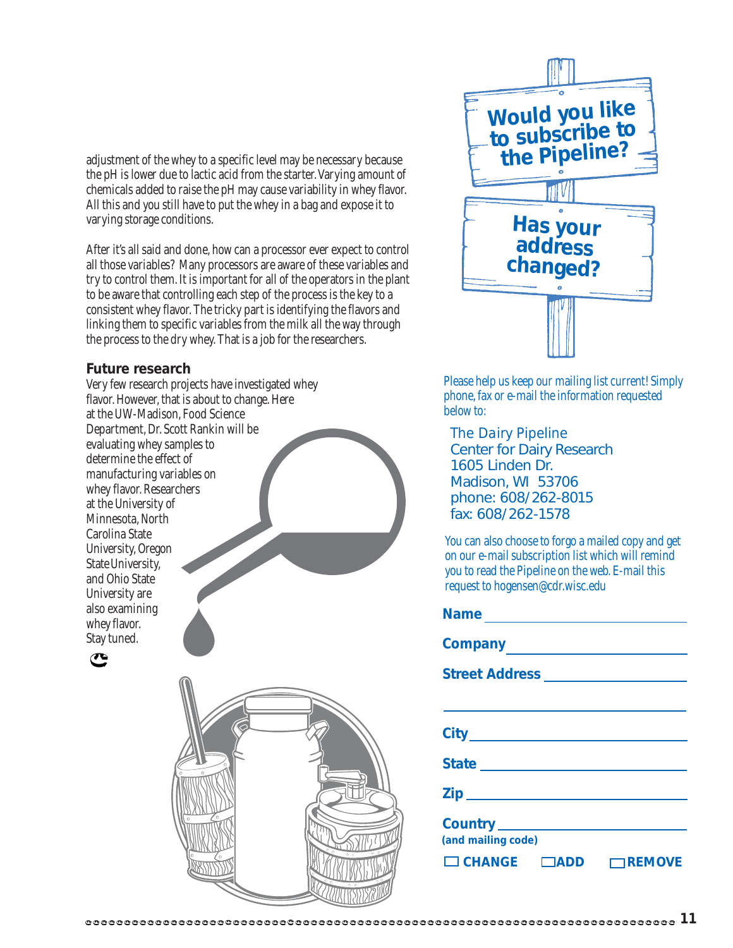adjustment of the whey to a specific level may be necessary because the pH is lower due to lactic acid from the starter. Varying amount of chemicals added to raise the pH may cause variability in whey flavor. All this and you still have to put the whey in a bag and expose it to varying storage conditions.

After it's all said and done, how can a processor ever expect to control all those variables? Many processors are aware of these variables and try to control them. It is important for all of the operators in the plant to be aware that controlling each step of the process is the key to a consistent whey flavor. The tricky part is identifying the flavors and linking them to specific variables from the milk all the way through the process to the dry whey. That is a job for the researchers.

### **Future research**

Very few research projects have investigated whey flavor. However, that is about to change. Here at the UW-Madison, Food Science Department, Dr. Scott Rankin will be evaluating whey samples to determine the effect of manufacturing variables on whey flavor. Researchers at the University of Minnesota, North Carolina State University, Oregon State University, and Ohio State University are also examining whey flavor. Stay tuned.







Please help us keep our mailing list current! Simply phone, fax or e-mail the information requested below to:

*The Dairy Pipeline* Center for Dairy Research 1605 Linden Dr. Madison, WI 53706 phone: 608/262-8015 fax: 608/262-1578

You can also choose to forgo a mailed copy and get on our e-mail subscription list which will remind you to read the Pipeline on the web. E-mail this request to hogensen@cdr.wisc.edu

| State <u>________________________</u>     |
|-------------------------------------------|
|                                           |
|                                           |
| (and mailing code)                        |
| $\Box$ CHANGE $\Box$ ADD<br>$\neg$ REMOVE |